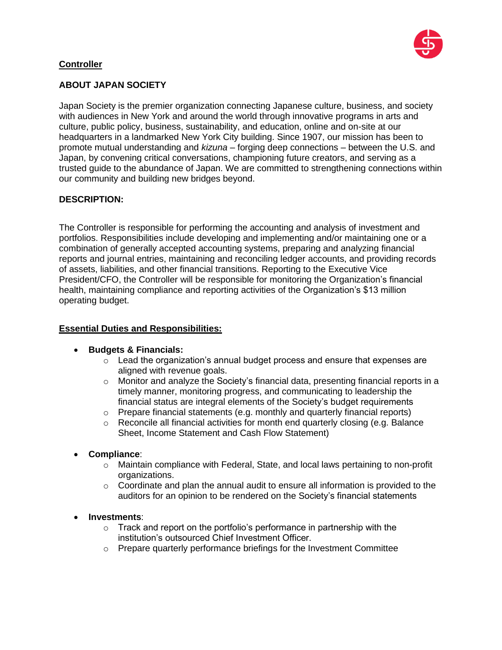

# **Controller**

# **ABOUT JAPAN SOCIETY**

Japan Society is the premier organization connecting Japanese culture, business, and society with audiences in New York and around the world through innovative programs in arts and culture, public policy, business, sustainability, and education, online and on-site at our headquarters in a landmarked New York City building. Since 1907, our mission has been to promote mutual understanding and *kizuna* – forging deep connections – between the U.S. and Japan, by convening critical conversations, championing future creators, and serving as a trusted guide to the abundance of Japan. We are committed to strengthening connections within our community and building new bridges beyond.

### **DESCRIPTION:**

The Controller is responsible for performing the accounting and analysis of investment and portfolios. Responsibilities include developing and implementing and/or maintaining one or a combination of generally accepted accounting systems, preparing and analyzing financial reports and journal entries, maintaining and reconciling ledger accounts, and providing records of assets, liabilities, and other financial transitions. Reporting to the Executive Vice President/CFO, the Controller will be responsible for monitoring the Organization's financial health, maintaining compliance and reporting activities of the Organization's \$13 million operating budget.

### **Essential Duties and Responsibilities:**

- **Budgets & Financials:**
	- $\circ$  Lead the organization's annual budget process and ensure that expenses are aligned with revenue goals.
	- o Monitor and analyze the Society's financial data, presenting financial reports in a timely manner, monitoring progress, and communicating to leadership the financial status are integral elements of the Society's budget requirements
	- $\circ$  Prepare financial statements (e.g. monthly and quarterly financial reports)
	- $\circ$  Reconcile all financial activities for month end quarterly closing (e.g. Balance Sheet, Income Statement and Cash Flow Statement)
- **Compliance**:
	- o Maintain compliance with Federal, State, and local laws pertaining to non-profit organizations.
	- $\circ$  Coordinate and plan the annual audit to ensure all information is provided to the auditors for an opinion to be rendered on the Society's financial statements
- **Investments**:
	- $\circ$  Track and report on the portfolio's performance in partnership with the institution's outsourced Chief Investment Officer.
	- o Prepare quarterly performance briefings for the Investment Committee